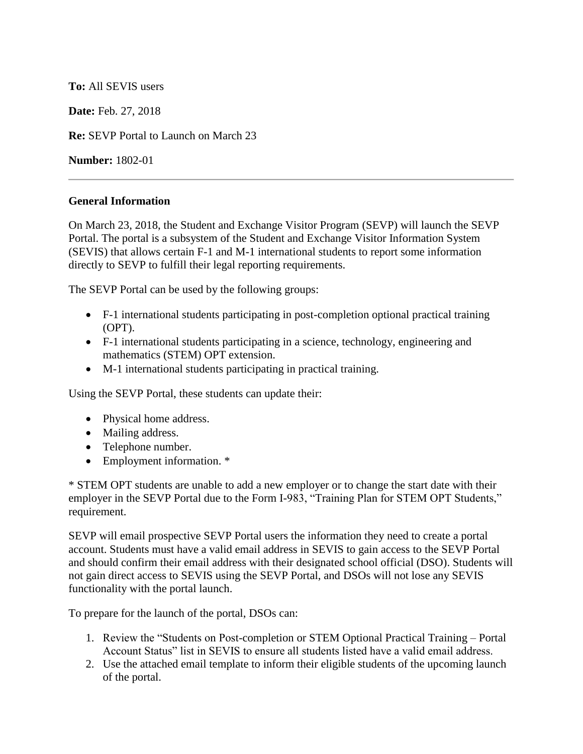## **To:** All SEVIS users

**Date:** Feb. 27, 2018

**Re:** SEVP Portal to Launch on March 23

**Number:** 1802-01

## **General Information**

On March 23, 2018, the Student and Exchange Visitor Program (SEVP) will launch the SEVP Portal. The portal is a subsystem of the Student and Exchange Visitor Information System (SEVIS) that allows certain F-1 and M-1 international students to report some information directly to SEVP to fulfill their legal reporting requirements.

The SEVP Portal can be used by the following groups:

- F-1 international students participating in post-completion optional practical training (OPT).
- F-1 international students participating in a science, technology, engineering and mathematics (STEM) OPT extension.
- M-1 international students participating in practical training.

Using the SEVP Portal, these students can update their:

- Physical home address.
- Mailing address.
- Telephone number.
- Employment information. \*

\* STEM OPT students are unable to add a new employer or to change the start date with their employer in the SEVP Portal due to the Form I-983, "Training Plan for STEM OPT Students," requirement.

SEVP will email prospective SEVP Portal users the information they need to create a portal account. Students must have a valid email address in SEVIS to gain access to the SEVP Portal and should confirm their email address with their designated school official (DSO). Students will not gain direct access to SEVIS using the SEVP Portal, and DSOs will not lose any SEVIS functionality with the portal launch.

To prepare for the launch of the portal, DSOs can:

- 1. Review the "Students on Post-completion or STEM Optional Practical Training Portal Account Status" list in SEVIS to ensure all students listed have a valid email address.
- 2. Use the attached email template to inform their eligible students of the upcoming launch of the portal.